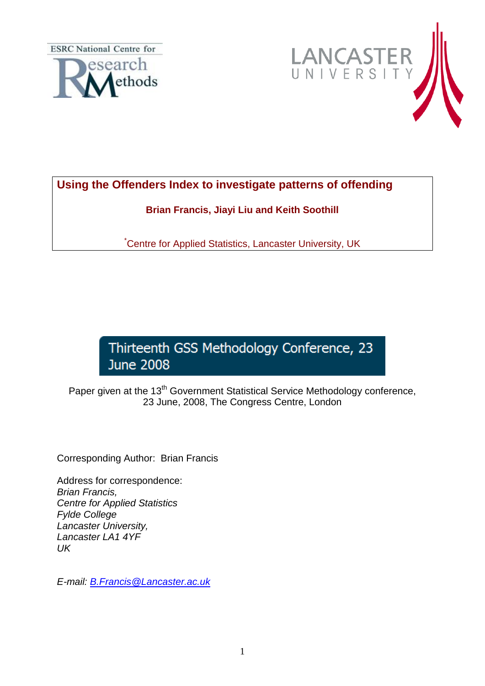**ESRC** National Centre for





## **Using the Offenders Index to investigate patterns of offending**

**Brian Francis, Jiayi Liu and Keith Soothill**

\*Centre for Applied Statistics, Lancaster University, UK

# Thirteenth GSS Methodology Conference, 23 **June 2008**

Paper given at the 13<sup>th</sup> Government Statistical Service Methodology conference, 23 June, 2008, The Congress Centre, London

Corresponding Author: Brian Francis

Address for correspondence: *Brian Francis, Centre for Applied Statistics Fylde College Lancaster University, Lancaster LA1 4YF UK*

*E-mail: [B.Francis@Lancaster.ac.uk](mailto:B.Francis@Lancaster.ac.uk)*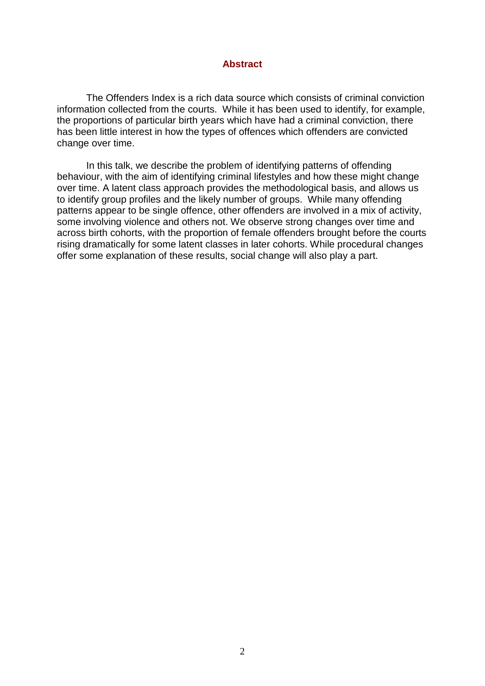#### **Abstract**

The Offenders Index is a rich data source which consists of criminal conviction information collected from the courts. While it has been used to identify, for example, the proportions of particular birth years which have had a criminal conviction, there has been little interest in how the types of offences which offenders are convicted change over time.

In this talk, we describe the problem of identifying patterns of offending behaviour, with the aim of identifying criminal lifestyles and how these might change over time. A latent class approach provides the methodological basis, and allows us to identify group profiles and the likely number of groups. While many offending patterns appear to be single offence, other offenders are involved in a mix of activity, some involving violence and others not. We observe strong changes over time and across birth cohorts, with the proportion of female offenders brought before the courts rising dramatically for some latent classes in later cohorts. While procedural changes offer some explanation of these results, social change will also play a part.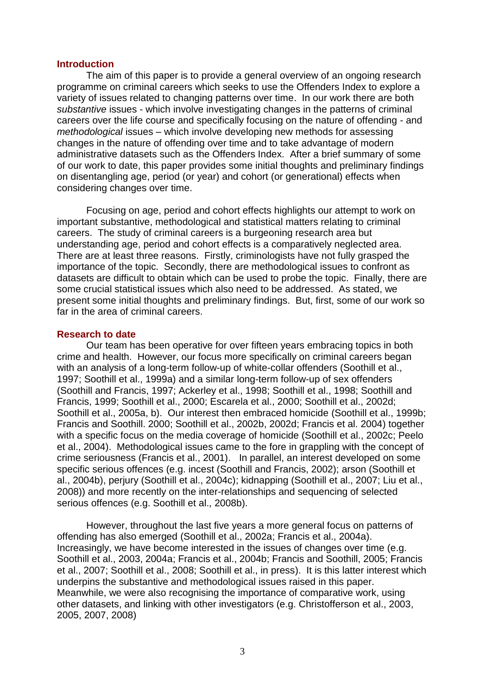#### **Introduction**

The aim of this paper is to provide a general overview of an ongoing research programme on criminal careers which seeks to use the Offenders Index to explore a variety of issues related to changing patterns over time. In our work there are both *substantive* issues - which involve investigating changes in the patterns of criminal careers over the life course and specifically focusing on the nature of offending - and *methodological* issues – which involve developing new methods for assessing changes in the nature of offending over time and to take advantage of modern administrative datasets such as the Offenders Index. After a brief summary of some of our work to date, this paper provides some initial thoughts and preliminary findings on disentangling age, period (or year) and cohort (or generational) effects when considering changes over time.

Focusing on age, period and cohort effects highlights our attempt to work on important substantive, methodological and statistical matters relating to criminal careers. The study of criminal careers is a burgeoning research area but understanding age, period and cohort effects is a comparatively neglected area. There are at least three reasons. Firstly, criminologists have not fully grasped the importance of the topic. Secondly, there are methodological issues to confront as datasets are difficult to obtain which can be used to probe the topic. Finally, there are some crucial statistical issues which also need to be addressed. As stated, we present some initial thoughts and preliminary findings. But, first, some of our work so far in the area of criminal careers.

#### **Research to date**

Our team has been operative for over fifteen years embracing topics in both crime and health. However, our focus more specifically on criminal careers began with an analysis of a long-term follow-up of white-collar offenders (Soothill et al., 1997; Soothill et al., 1999a) and a similar long-term follow-up of sex offenders (Soothill and Francis, 1997; Ackerley et al., 1998; Soothill et al., 1998; Soothill and Francis, 1999; Soothill et al., 2000; Escarela et al., 2000; Soothill et al., 2002d; Soothill et al., 2005a, b). Our interest then embraced homicide (Soothill et al., 1999b; Francis and Soothill. 2000; Soothill et al., 2002b, 2002d; Francis et al. 2004) together with a specific focus on the media coverage of homicide (Soothill et al., 2002c; Peelo et al., 2004). Methodological issues came to the fore in grappling with the concept of crime seriousness (Francis et al., 2001). In parallel, an interest developed on some specific serious offences (e.g. incest (Soothill and Francis, 2002); arson (Soothill et al., 2004b), perjury (Soothill et al., 2004c); kidnapping (Soothill et al., 2007; Liu et al., 2008)) and more recently on the inter-relationships and sequencing of selected serious offences (e.g. Soothill et al., 2008b).

However, throughout the last five years a more general focus on patterns of offending has also emerged (Soothill et al., 2002a; Francis et al., 2004a). Increasingly, we have become interested in the issues of changes over time (e.g. Soothill et al., 2003, 2004a; Francis et al., 2004b; Francis and Soothill, 2005; Francis et al., 2007; Soothill et al., 2008; Soothill et al., in press). It is this latter interest which underpins the substantive and methodological issues raised in this paper. Meanwhile, we were also recognising the importance of comparative work, using other datasets, and linking with other investigators (e.g. Christofferson et al., 2003, 2005, 2007, 2008)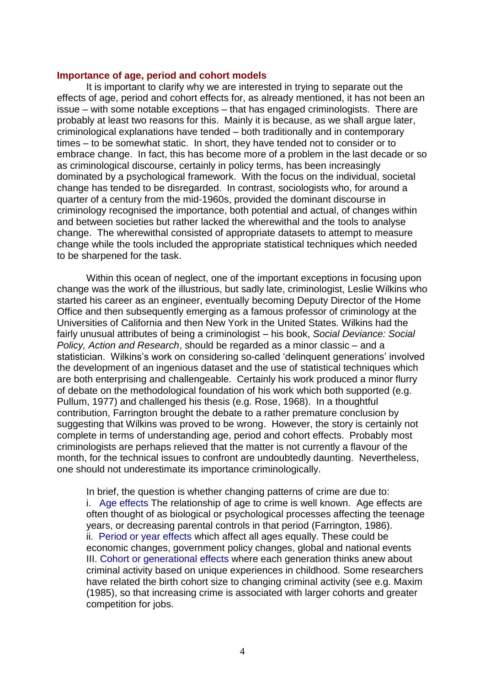#### **Importance of age, period and cohort models**

It is important to clarify why we are interested in trying to separate out the effects of age, period and cohort effects for, as already mentioned, it has not been an issue – with some notable exceptions – that has engaged criminologists. There are probably at least two reasons for this. Mainly it is because, as we shall argue later, criminological explanations have tended – both traditionally and in contemporary times – to be somewhat static. In short, they have tended not to consider or to embrace change. In fact, this has become more of a problem in the last decade or so as criminological discourse, certainly in policy terms, has been increasingly dominated by a psychological framework. With the focus on the individual, societal change has tended to be disregarded. In contrast, sociologists who, for around a quarter of a century from the mid-1960s, provided the dominant discourse in criminology recognised the importance, both potential and actual, of changes within and between societies but rather lacked the wherewithal and the tools to analyse change. The wherewithal consisted of appropriate datasets to attempt to measure change while the tools included the appropriate statistical techniques which needed to be sharpened for the task.

Within this ocean of neglect, one of the important exceptions in focusing upon change was the work of the illustrious, but sadly late, criminologist, Leslie Wilkins who started his career as an engineer, eventually becoming Deputy Director of the Home Office and then subsequently emerging as a famous professor of criminology at the Universities of California and then New York in the United States. Wilkins had the fairly unusual attributes of being a criminologist – his book, *Social Deviance: Social Policy, Action and Research*, should be regarded as a minor classic – and a statistician. Wilkins's work on considering so-called 'delinguent generations' involved the development of an ingenious dataset and the use of statistical techniques which are both enterprising and challengeable. Certainly his work produced a minor flurry of debate on the methodological foundation of his work which both supported (e.g. Pullum, 1977) and challenged his thesis (e.g. Rose, 1968). In a thoughtful contribution, Farrington brought the debate to a rather premature conclusion by suggesting that Wilkins was proved to be wrong. However, the story is certainly not complete in terms of understanding age, period and cohort effects. Probably most criminologists are perhaps relieved that the matter is not currently a flavour of the month, for the technical issues to confront are undoubtedly daunting. Nevertheless, one should not underestimate its importance criminologically.

In brief, the question is whether changing patterns of crime are due to: i. Age effects The relationship of age to crime is well known. Age effects are often thought of as biological or psychological processes affecting the teenage years, or decreasing parental controls in that period (Farrington, 1986). ii. Period or year effects which affect all ages equally. These could be economic changes, government policy changes, global and national events III. Cohort or generational effects where each generation thinks anew about criminal activity based on unique experiences in childhood. Some researchers have related the birth cohort size to changing criminal activity (see e.g. Maxim (1985), so that increasing crime is associated with larger cohorts and greater competition for jobs.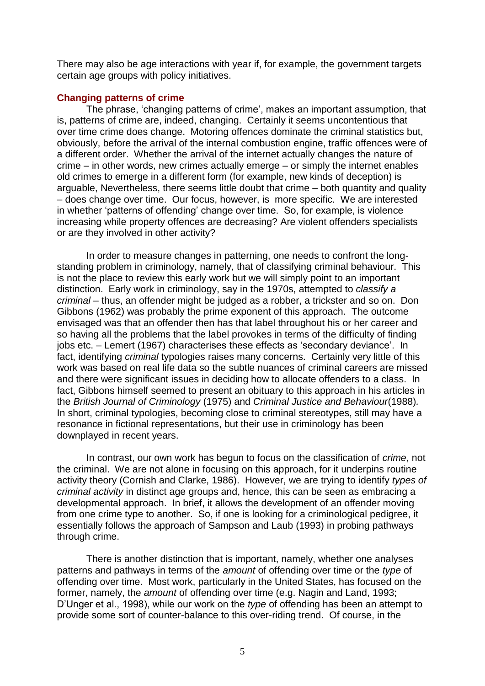There may also be age interactions with year if, for example, the government targets certain age groups with policy initiatives.

## **Changing patterns of crime**

The phrase, "changing patterns of crime", makes an important assumption, that is, patterns of crime are, indeed, changing. Certainly it seems uncontentious that over time crime does change. Motoring offences dominate the criminal statistics but, obviously, before the arrival of the internal combustion engine, traffic offences were of a different order. Whether the arrival of the internet actually changes the nature of crime – in other words, new crimes actually emerge – or simply the internet enables old crimes to emerge in a different form (for example, new kinds of deception) is arguable, Nevertheless, there seems little doubt that crime – both quantity and quality – does change over time. Our focus, however, is more specific. We are interested in whether "patterns of offending" change over time. So, for example, is violence increasing while property offences are decreasing? Are violent offenders specialists or are they involved in other activity?

In order to measure changes in patterning, one needs to confront the longstanding problem in criminology, namely, that of classifying criminal behaviour. This is not the place to review this early work but we will simply point to an important distinction. Early work in criminology, say in the 1970s, attempted to *classify a criminal –* thus, an offender might be judged as a robber, a trickster and so on. Don Gibbons (1962) was probably the prime exponent of this approach. The outcome envisaged was that an offender then has that label throughout his or her career and so having all the problems that the label provokes in terms of the difficulty of finding jobs etc. – Lemert (1967) characterises these effects as "secondary deviance". In fact, identifying *criminal* typologies raises many concerns. Certainly very little of this work was based on real life data so the subtle nuances of criminal careers are missed and there were significant issues in deciding how to allocate offenders to a class. In fact, Gibbons himself seemed to present an obituary to this approach in his articles in the *British Journal of Criminology* (1975) and *Criminal Justice and Behaviour*(1988)*.*  In short, criminal typologies, becoming close to criminal stereotypes, still may have a resonance in fictional representations, but their use in criminology has been downplayed in recent years.

In contrast, our own work has begun to focus on the classification of *crime*, not the criminal. We are not alone in focusing on this approach, for it underpins routine activity theory (Cornish and Clarke, 1986). However, we are trying to identify *types of criminal activity* in distinct age groups and, hence, this can be seen as embracing a developmental approach. In brief, it allows the development of an offender moving from one crime type to another. So, if one is looking for a criminological pedigree, it essentially follows the approach of Sampson and Laub (1993) in probing pathways through crime.

There is another distinction that is important, namely, whether one analyses patterns and pathways in terms of the *amount* of offending over time or the *type* of offending over time. Most work, particularly in the United States, has focused on the former, namely, the *amount* of offending over time (e.g. Nagin and Land, 1993; D"Unger et al., 1998), while our work on the *type* of offending has been an attempt to provide some sort of counter-balance to this over-riding trend. Of course, in the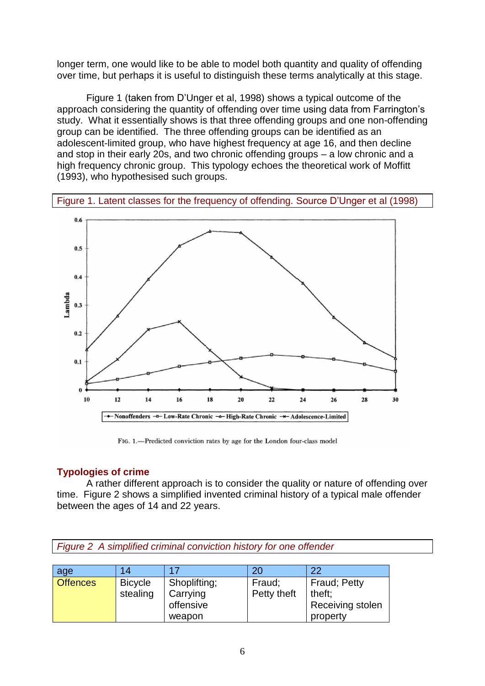longer term, one would like to be able to model both quantity and quality of offending over time, but perhaps it is useful to distinguish these terms analytically at this stage.

Figure 1 (taken from D"Unger et al, 1998) shows a typical outcome of the approach considering the quantity of offending over time using data from Farrington"s study. What it essentially shows is that three offending groups and one non-offending group can be identified. The three offending groups can be identified as an adolescent-limited group, who have highest frequency at age 16, and then decline and stop in their early 20s, and two chronic offending groups – a low chronic and a high frequency chronic group. This typology echoes the theoretical work of Moffitt (1993), who hypothesised such groups.

Figure 1. Latent classes for the frequency of offending. Source D"Unger et al (1998)



FIG. 1.-Predicted conviction rates by age for the London four-class model

## **Typologies of crime**

A rather different approach is to consider the quality or nature of offending over time. Figure 2 shows a simplified invented criminal history of a typical male offender between the ages of 14 and 22 years.

*Figure 2 A simplified criminal conviction history for one offender*

| age             | 14             | 17           |             | 22               |
|-----------------|----------------|--------------|-------------|------------------|
| <b>Offences</b> | <b>Bicycle</b> | Shoplifting; | Fraud;      | Fraud; Petty     |
|                 | stealing       | Carrying     | Petty theft | theft:           |
|                 |                | offensive    |             | Receiving stolen |
|                 |                | weapon       |             | property         |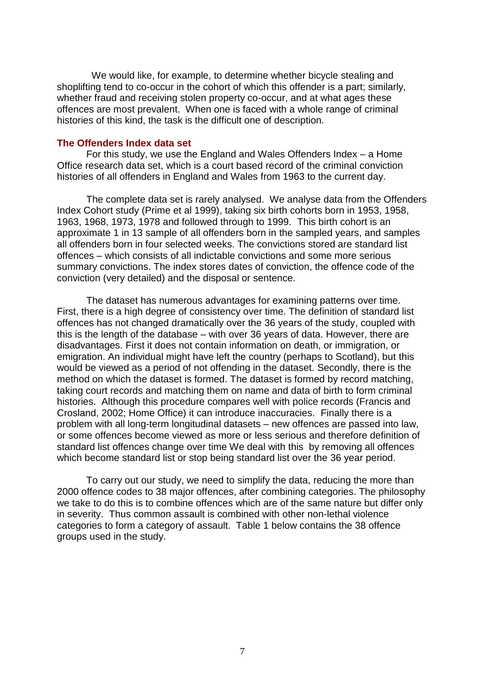We would like, for example, to determine whether bicycle stealing and shoplifting tend to co-occur in the cohort of which this offender is a part; similarly, whether fraud and receiving stolen property co-occur, and at what ages these offences are most prevalent. When one is faced with a whole range of criminal histories of this kind, the task is the difficult one of description.

#### **The Offenders Index data set**

For this study, we use the England and Wales Offenders Index – a Home Office research data set, which is a court based record of the criminal conviction histories of all offenders in England and Wales from 1963 to the current day.

The complete data set is rarely analysed. We analyse data from the Offenders Index Cohort study (Prime et al 1999), taking six birth cohorts born in 1953, 1958, 1963, 1968, 1973, 1978 and followed through to 1999. This birth cohort is an approximate 1 in 13 sample of all offenders born in the sampled years, and samples all offenders born in four selected weeks. The convictions stored are standard list offences – which consists of all indictable convictions and some more serious summary convictions. The index stores dates of conviction, the offence code of the conviction (very detailed) and the disposal or sentence.

The dataset has numerous advantages for examining patterns over time. First, there is a high degree of consistency over time. The definition of standard list offences has not changed dramatically over the 36 years of the study, coupled with this is the length of the database – with over 36 years of data. However, there are disadvantages. First it does not contain information on death, or immigration, or emigration. An individual might have left the country (perhaps to Scotland), but this would be viewed as a period of not offending in the dataset. Secondly, there is the method on which the dataset is formed. The dataset is formed by record matching, taking court records and matching them on name and data of birth to form criminal histories. Although this procedure compares well with police records (Francis and Crosland, 2002; Home Office) it can introduce inaccuracies. Finally there is a problem with all long-term longitudinal datasets – new offences are passed into law, or some offences become viewed as more or less serious and therefore definition of standard list offences change over time We deal with this by removing all offences which become standard list or stop being standard list over the 36 year period.

To carry out our study, we need to simplify the data, reducing the more than 2000 offence codes to 38 major offences, after combining categories. The philosophy we take to do this is to combine offences which are of the same nature but differ only in severity. Thus common assault is combined with other non-lethal violence categories to form a category of assault. Table 1 below contains the 38 offence groups used in the study.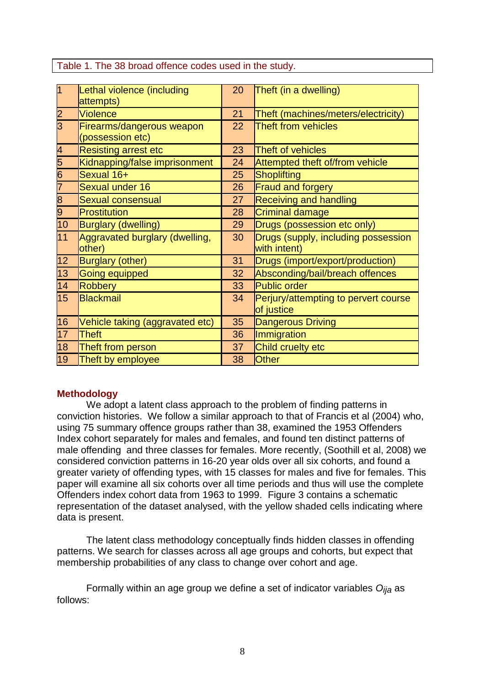Table 1. The 38 broad offence codes used in the study.

| $\overline{1}$           | Lethal violence (including      | 20 | Theft (in a dwelling)                |
|--------------------------|---------------------------------|----|--------------------------------------|
|                          | attempts)                       |    |                                      |
| $\overline{2}$           | <b>Violence</b>                 | 21 | Theft (machines/meters/electricity)  |
| $\overline{3}$           | Firearms/dangerous weapon       |    | <b>Theft from vehicles</b>           |
|                          | (possession etc)                |    |                                      |
| $\overline{\mathcal{A}}$ | Resisting arrest etc            | 23 | Theft of vehicles                    |
| 5                        | Kidnapping/false imprisonment   | 24 | Attempted theft of/from vehicle      |
| $\overline{6}$           | Sexual 16+                      | 25 | Shoplifting                          |
| 7                        | Sexual under 16                 | 26 | Fraud and forgery                    |
| $\overline{8}$           | <b>Sexual consensual</b>        | 27 | Receiving and handling               |
| 9                        | Prostitution                    | 28 | Criminal damage                      |
| 10                       | Burglary (dwelling)             | 29 | Drugs (possession etc only)          |
| 11                       | Aggravated burglary (dwelling,  | 30 | Drugs (supply, including possession  |
|                          | other)                          |    | with intent)                         |
| 12                       | Burglary (other)                | 31 | Drugs (import/export/production)     |
| 13                       | Going equipped                  | 32 | Absconding/bail/breach offences      |
| 14                       | Robbery                         | 33 | Public order                         |
| 15                       | Blackmail                       | 34 | Perjury/attempting to pervert course |
|                          |                                 |    | of justice                           |
| 16                       | Vehicle taking (aggravated etc) | 35 | Dangerous Driving                    |
| 17                       | <b>Theft</b>                    | 36 | Immigration                          |
| 18                       | Theft from person               | 37 | Child cruelty etc                    |
| 19                       | Theft by employee               | 38 | Other                                |

## **Methodology**

We adopt a latent class approach to the problem of finding patterns in conviction histories. We follow a similar approach to that of Francis et al (2004) who, using 75 summary offence groups rather than 38, examined the 1953 Offenders Index cohort separately for males and females, and found ten distinct patterns of male offending and three classes for females. More recently, (Soothill et al, 2008) we considered conviction patterns in 16-20 year olds over all six cohorts, and found a greater variety of offending types, with 15 classes for males and five for females. This paper will examine all six cohorts over all time periods and thus will use the complete Offenders index cohort data from 1963 to 1999. Figure 3 contains a schematic representation of the dataset analysed, with the yellow shaded cells indicating where data is present.

The latent class methodology conceptually finds hidden classes in offending patterns. We search for classes across all age groups and cohorts, but expect that membership probabilities of any class to change over cohort and age.

Formally within an age group we define a set of indicator variables *Oija* as follows: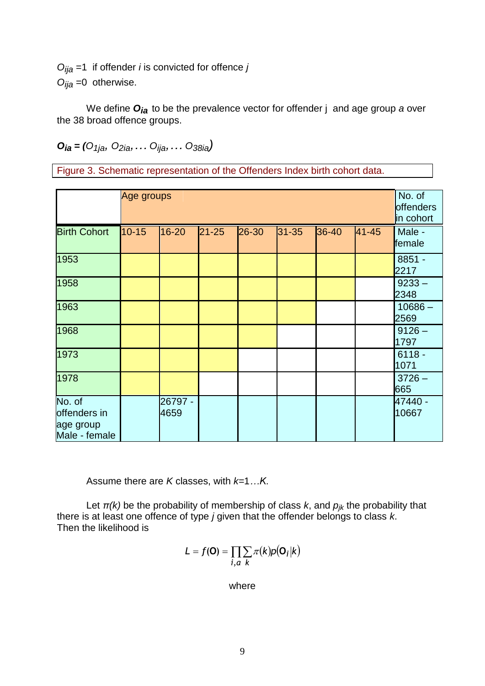*Oija* =1 if offender *i* is convicted for offence *j Oija* =0 otherwise.

We define *Oia* to be the prevalence vector for offender j and age group *a* over the 38 broad offence groups.

*Oia = (O1ja, O2ia,… Oija,… O38ia)*

Figure 3. Schematic representation of the Offenders Index birth cohort data.

|                                                      | Age groups |                 |           |       |           |       |       | No. of<br>offenders<br>in cohort |
|------------------------------------------------------|------------|-----------------|-----------|-------|-----------|-------|-------|----------------------------------|
| <b>Birth Cohort</b>                                  | $10 - 15$  | 16-20           | $21 - 25$ | 26-30 | $31 - 35$ | 36-40 | 41-45 | Male -<br>female                 |
| 1953                                                 |            |                 |           |       |           |       |       | $8851 -$<br>2217                 |
| 1958                                                 |            |                 |           |       |           |       |       | $9233 -$<br>2348                 |
| 1963                                                 |            |                 |           |       |           |       |       | $10686 -$<br>2569                |
| 1968                                                 |            |                 |           |       |           |       |       | $9126 -$<br>1797                 |
| 1973                                                 |            |                 |           |       |           |       |       | $6118 -$<br>1071                 |
| 1978                                                 |            |                 |           |       |           |       |       | $3726 -$<br>665                  |
| No. of<br>offenders in<br>age group<br>Male - female |            | 26797 -<br>4659 |           |       |           |       |       | 47440 -<br>10667                 |

Assume there are *K* classes, with *k=*1*…K*.

Let  $\pi(k)$  be the probability of membership of class  $k$ , and  $p_{ik}$  the probability that there is at least one offence of type *j* given that the offender belongs to class *k*. Then the likelihood is

$$
L = f(\mathbf{O}) = \prod_{i,a} \sum_{k} \pi(k) p(\mathbf{O}_i|k)
$$

where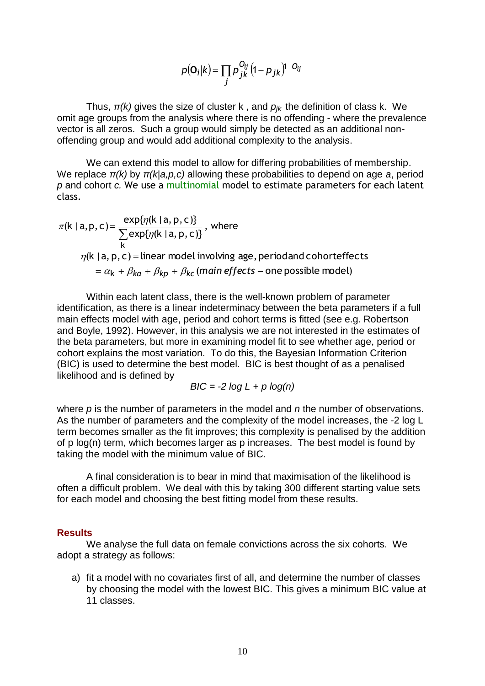$$
p(\mathbf{O}_i|k) = \prod_j p_{jk}^{O_{ij}} (1-p_{jk})^{1-O_{ij}}
$$

Thus, *π(k)* gives the size of cluster k , and *pjk* the definition of class k. We omit age groups from the analysis where there is no offending - where the prevalence vector is all zeros. Such a group would simply be detected as an additional nonoffending group and would add additional complexity to the analysis.

We can extend this model to allow for differing probabilities of membership. We replace *π(k)* by *π(k|a,p,c)* allowing these probabilities to depend on age *a*, period *p* and cohort *c.* We use a multinomial model to estimate parameters for each latent class.

$$
\pi(k | a, p, c) = \frac{\exp{\{\eta(k | a, p, c)\}}}{\sum_{k} \exp{\{\eta(k | a, p, c)\}}},
$$
 where  
\n
$$
\eta(k | a, p, c) = \text{linear model involving age, period and cohorteffects}
$$
\n
$$
= \alpha_k + \beta_{ka} + \beta_{kp} + \beta_{kc} \text{ (main effects – one possible model)}
$$

 $(O_i|k) = \prod_i p_{jk}^{O_{ij}} (1-p_{jk})^i$ <br>
e of cluster k, and  $p_{jk}$ <br>
ysis where there is no  $\log_i p_{jk}$ <br>
ysis where there is no  $\log_i p_{jk}$ <br>
del additional complexity<br>
del to allow for differing<br>
allowing these probabil<br>
inomial model t Within each latent class, there is the well-known problem of parameter identification, as there is a linear indeterminacy between the beta parameters if a full main effects model with age, period and cohort terms is fitted (see e.g. Robertson and Boyle, 1992). However, in this analysis we are not interested in the estimates of the beta parameters, but more in examining model fit to see whether age, period or cohort explains the most variation. To do this, the Bayesian Information Criterion (BIC) is used to determine the best model. BIC is best thought of as a penalised likelihood and is defined by

$$
BIC = -2 log L + p log(n)
$$

where *p* is the number of parameters in the model and *n* the number of observations. As the number of parameters and the complexity of the model increases, the -2 log L term becomes smaller as the fit improves; this complexity is penalised by the addition of p log(n) term, which becomes larger as p increases. The best model is found by taking the model with the minimum value of BIC.

A final consideration is to bear in mind that maximisation of the likelihood is often a difficult problem. We deal with this by taking 300 different starting value sets for each model and choosing the best fitting model from these results.

#### **Results**

We analyse the full data on female convictions across the six cohorts. We adopt a strategy as follows:

a) fit a model with no covariates first of all, and determine the number of classes by choosing the model with the lowest BIC. This gives a minimum BIC value at 11 classes.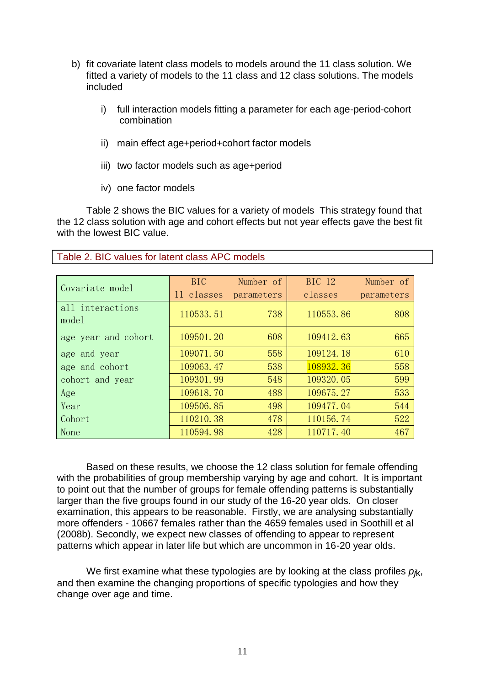- b) fit covariate latent class models to models around the 11 class solution. We fitted a variety of models to the 11 class and 12 class solutions. The models included
	- i) full interaction models fitting a parameter for each age-period-cohort combination
	- ii) main effect age+period+cohort factor models
	- iii) two factor models such as age+period
	- iv) one factor models

Table 2 shows the BIC values for a variety of models This strategy found that the 12 class solution with age and cohort effects but not year effects gave the best fit with the lowest BIC value.

| Covariate model     | BIC        | Number of  | <b>BIC 12</b> | Number of  |
|---------------------|------------|------------|---------------|------------|
|                     | 11 classes | parameters | classes       | parameters |
| all interactions    | 110533.51  | 738        | 110553.86     | 808        |
| model               |            |            |               |            |
| age year and cohort | 109501.20  | 608        | 109412.63     | 665        |
| age and year        | 109071.50  | 558        | 109124.18     | 610        |
| age and cohort      | 109063.47  | 538        | 108932.36     | 558        |
| cohort and year     | 109301.99  | 548        | 109320.05     | 599        |
| Age                 | 109618.70  | 488        | 109675.27     | 533        |
| Year                | 109506.85  | 498        | 109477.04     | 544        |
| Cohort              | 110210.38  | 478        | 110156.74     | 522        |
| None                | 110594.98  | 428        | 110717.40     | 467        |

## Table 2. BIC values for latent class APC models

Based on these results, we choose the 12 class solution for female offending with the probabilities of group membership varying by age and cohort. It is important to point out that the number of groups for female offending patterns is substantially larger than the five groups found in our study of the 16-20 year olds. On closer examination, this appears to be reasonable. Firstly, we are analysing substantially more offenders - 10667 females rather than the 4659 females used in Soothill et al (2008b). Secondly, we expect new classes of offending to appear to represent patterns which appear in later life but which are uncommon in 16-20 year olds.

We first examine what these typologies are by looking at the class profiles  $p_{k}$ , and then examine the changing proportions of specific typologies and how they change over age and time.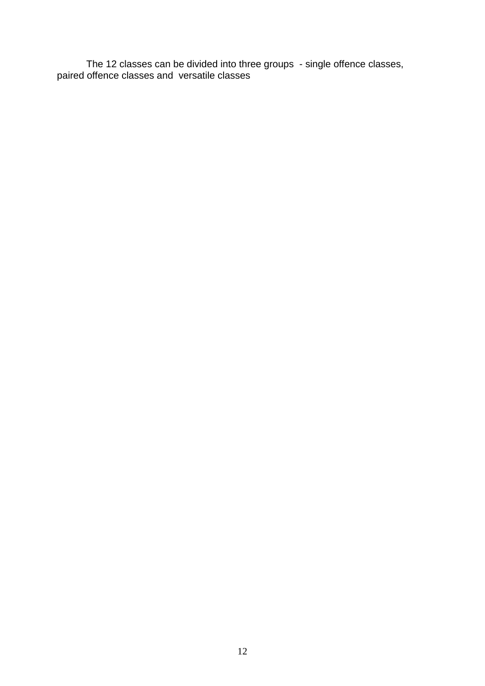The 12 classes can be divided into three groups - single offence classes, paired offence classes and versatile classes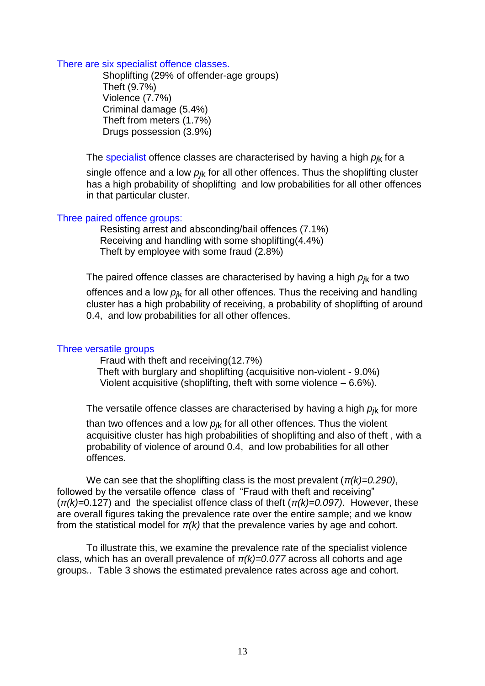## There are six specialist offence classes.

 Shoplifting (29% of offender-age groups) Theft (9.7%) Violence (7.7%) Criminal damage (5.4%) Theft from meters (1.7%) Drugs possession (3.9%)

The specialist offence classes are characterised by having a high  $p_k$  for a single offence and a low  $p_k$  for all other offences. Thus the shoplifting cluster has a high probability of shoplifting and low probabilities for all other offences in that particular cluster.

## Three paired offence groups:

 Resisting arrest and absconding/bail offences (7.1%) Receiving and handling with some shoplifting(4.4%) Theft by employee with some fraud (2.8%)

The paired offence classes are characterised by having a high  $p_{ik}$  for a two offences and a low  $p_k$  for all other offences. Thus the receiving and handling cluster has a high probability of receiving, a probability of shoplifting of around 0.4, and low probabilities for all other offences.

## Three versatile groups

 Fraud with theft and receiving(12.7%) Theft with burglary and shoplifting (acquisitive non-violent - 9.0%) Violent acquisitive (shoplifting, theft with some violence – 6.6%).

The versatile offence classes are characterised by having a high  $p_k$  for more than two offences and a low  $p_k$  for all other offences. Thus the violent acquisitive cluster has high probabilities of shoplifting and also of theft , with a probability of violence of around 0.4, and low probabilities for all other offences.

We can see that the shoplifting class is the most prevalent (*π(k)=0.290)*, followed by the versatile offence class of "Fraud with theft and receiving" (*π(k)=*0.127) and the specialist offence class of theft (*π(k)=0.097).* However, these are overall figures taking the prevalence rate over the entire sample; and we know from the statistical model for  $\pi(k)$  that the prevalence varies by age and cohort.

To illustrate this, we examine the prevalence rate of the specialist violence class, which has an overall prevalence of *π(k)=0.077* across all cohorts and age groups*..* Table 3 shows the estimated prevalence rates across age and cohort.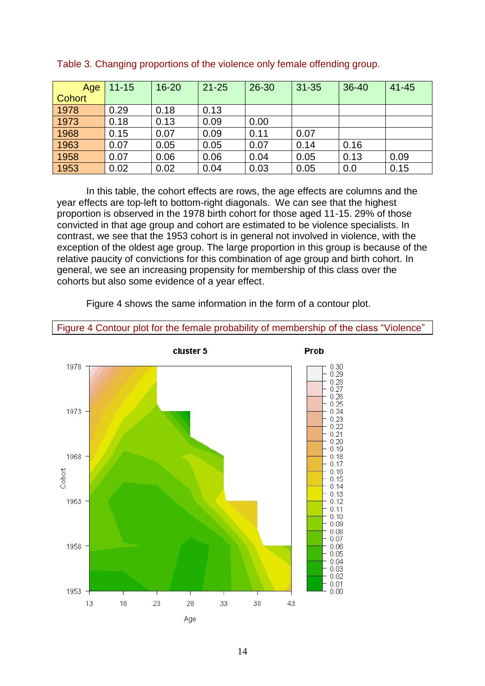| Age           | $11 - 15$ | $16 - 20$ | $21 - 25$ | 26-30 | $31 - 35$ | $36 - 40$ | $41 - 45$ |
|---------------|-----------|-----------|-----------|-------|-----------|-----------|-----------|
| <b>Cohort</b> |           |           |           |       |           |           |           |
| 1978          | 0.29      | 0.18      | 0.13      |       |           |           |           |
| 1973          | 0.18      | 0.13      | 0.09      | 0.00  |           |           |           |
| 1968          | 0.15      | 0.07      | 0.09      | 0.11  | 0.07      |           |           |
| 1963          | 0.07      | 0.05      | 0.05      | 0.07  | 0.14      | 0.16      |           |
| 1958          | 0.07      | 0.06      | 0.06      | 0.04  | 0.05      | 0.13      | 0.09      |
| 1953          | 0.02      | 0.02      | 0.04      | 0.03  | 0.05      | 0.0       | 0.15      |

Table 3. Changing proportions of the violence only female offending group.

In this table, the cohort effects are rows, the age effects are columns and the year effects are top-left to bottom-right diagonals. We can see that the highest proportion is observed in the 1978 birth cohort for those aged 11-15. 29% of those convicted in that age group and cohort are estimated to be violence specialists. In contrast, we see that the 1953 cohort is in general not involved in violence, with the exception of the oldest age group. The large proportion in this group is because of the relative paucity of convictions for this combination of age group and birth cohort. In general, we see an increasing propensity for membership of this class over the cohorts but also some evidence of a year effect.

Figure 4 shows the same information in the form of a contour plot.



## Figure 4 Contour plot for the female probability of membership of the class "Violence"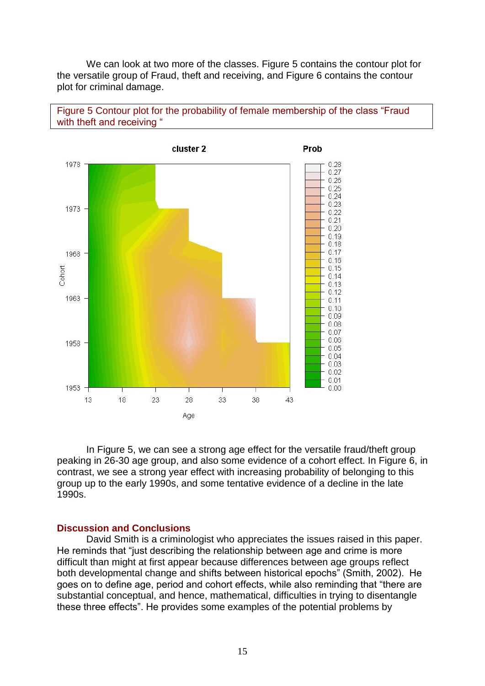We can look at two more of the classes. Figure 5 contains the contour plot for the versatile group of Fraud, theft and receiving, and Figure 6 contains the contour plot for criminal damage.





In Figure 5, we can see a strong age effect for the versatile fraud/theft group peaking in 26-30 age group, and also some evidence of a cohort effect. In Figure 6, in contrast, we see a strong year effect with increasing probability of belonging to this group up to the early 1990s, and some tentative evidence of a decline in the late 1990s.

#### **Discussion and Conclusions**

David Smith is a criminologist who appreciates the issues raised in this paper. He reminds that "just describing the relationship between age and crime is more difficult than might at first appear because differences between age groups reflect both developmental change and shifts between historical epochs" (Smith, 2002). He goes on to define age, period and cohort effects, while also reminding that "there are substantial conceptual, and hence, mathematical, difficulties in trying to disentangle these three effects". He provides some examples of the potential problems by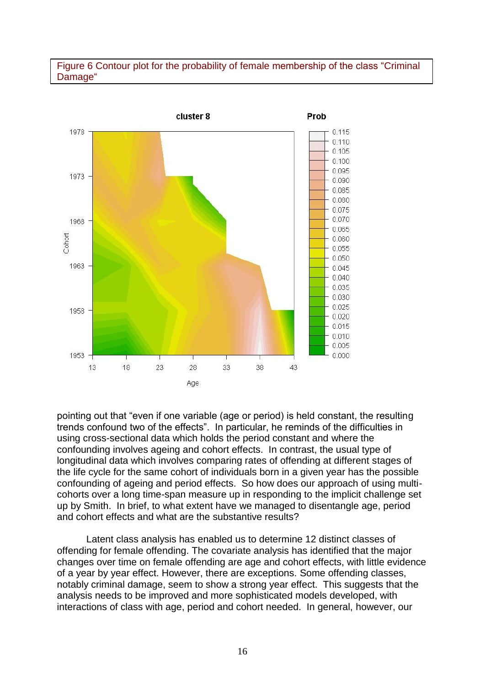## Figure 6 Contour plot for the probability of female membership of the class "Criminal Damage"



pointing out that "even if one variable (age or period) is held constant, the resulting trends confound two of the effects". In particular, he reminds of the difficulties in using cross-sectional data which holds the period constant and where the confounding involves ageing and cohort effects. In contrast, the usual type of longitudinal data which involves comparing rates of offending at different stages of the life cycle for the same cohort of individuals born in a given year has the possible confounding of ageing and period effects. So how does our approach of using multicohorts over a long time-span measure up in responding to the implicit challenge set up by Smith. In brief, to what extent have we managed to disentangle age, period and cohort effects and what are the substantive results?

Latent class analysis has enabled us to determine 12 distinct classes of offending for female offending. The covariate analysis has identified that the major changes over time on female offending are age and cohort effects, with little evidence of a year by year effect. However, there are exceptions. Some offending classes, notably criminal damage, seem to show a strong year effect. This suggests that the analysis needs to be improved and more sophisticated models developed, with interactions of class with age, period and cohort needed. In general, however, our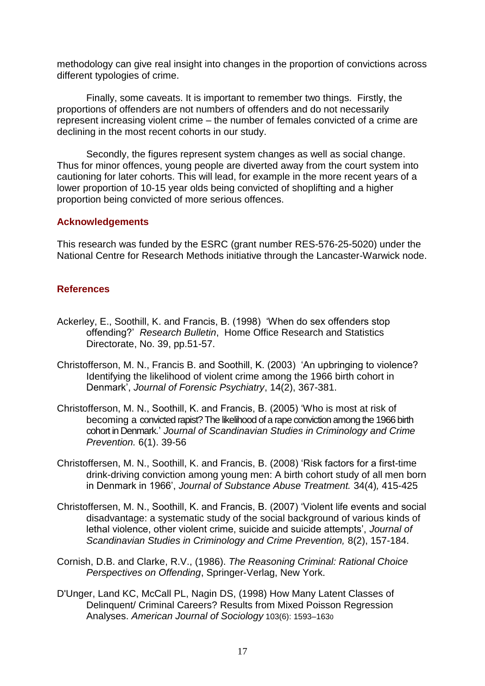methodology can give real insight into changes in the proportion of convictions across different typologies of crime.

Finally, some caveats. It is important to remember two things. Firstly, the proportions of offenders are not numbers of offenders and do not necessarily represent increasing violent crime – the number of females convicted of a crime are declining in the most recent cohorts in our study.

Secondly, the figures represent system changes as well as social change. Thus for minor offences, young people are diverted away from the court system into cautioning for later cohorts. This will lead, for example in the more recent years of a lower proportion of 10-15 year olds being convicted of shoplifting and a higher proportion being convicted of more serious offences.

## **Acknowledgements**

This research was funded by the ESRC (grant number RES-576-25-5020) under the National Centre for Research Methods initiative through the Lancaster-Warwick node.

## **References**

- Ackerley, E., Soothill, K. and Francis, B. (1998) "When do sex offenders stop offending?" *Research Bulletin*, Home Office Research and Statistics Directorate, No. 39, pp.51-57.
- Christofferson, M. N., Francis B. and Soothill, K. (2003) "An upbringing to violence? Identifying the likelihood of violent crime among the 1966 birth cohort in Denmark", *Journal of Forensic Psychiatry*, 14(2), 367-381.
- Christofferson, M. N., Soothill, K. and Francis, B. (2005) "Who is most at risk of becoming a convicted rapist? The likelihood of a rape conviction among the 1966 birth cohort in Denmark." *Journal of Scandinavian Studies in Criminology and Crime Prevention.* 6(1). 39-56
- Christoffersen, M. N., Soothill, K. and Francis, B. (2008) "Risk factors for a first-time drink-driving conviction among young men: A birth cohort study of all men born in Denmark in 1966", *Journal of Substance Abuse Treatment.* 34(4)*,* 415-425
- Christoffersen, M. N., Soothill, K. and Francis, B. (2007) "Violent life events and social disadvantage: a systematic study of the social background of various kinds of lethal violence, other violent crime, suicide and suicide attempts", *Journal of Scandinavian Studies in Criminology and Crime Prevention,* 8(2), 157-184.
- [Cornish,](http://www.sciencedirect.com/science?_ob=ArticleURL&_udi=B6V75-41S4T49-3&_user=196517&_rdoc=1&_fmt=&_orig=search&_sort=d&view=c&_acct=C000013818&_version=1&_urlVersion=0&_userid=196517&md5=b43ec905105afe4a7dd8c3134f10dfe8#bbib13#bbib13) D.B. and Clarke, R.V., (1986). *The Reasoning Criminal: Rational Choice Perspectives on Offending*, Springer-Verlag, New York.
- D'Unger, Land KC, McCall PL, Nagin DS, (1998) How Many Latent Classes of Delinquent/ Criminal Careers? Results from Mixed Poisson Regression Analyses. *American Journal of Sociology* 103(6): 1593–163<sup>0</sup>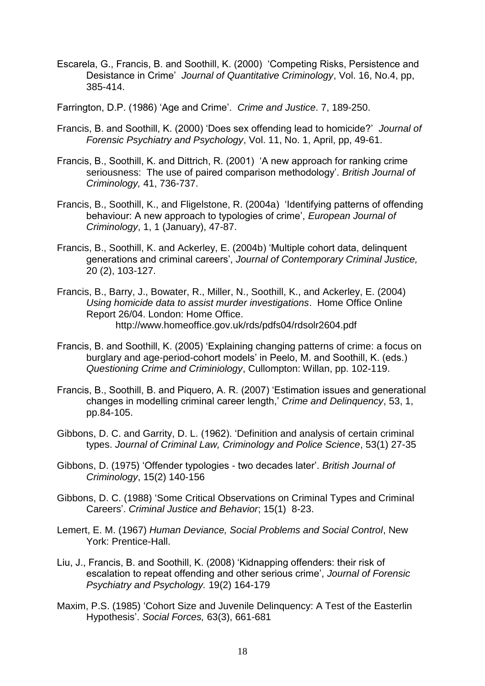- Escarela, G., Francis, B. and Soothill, K. (2000) "Competing Risks, Persistence and Desistance in Crime" *Journal of Quantitative Criminology*, Vol. 16, No.4, pp, 385-414.
- Farrington, D.P. (1986) 'Age and Crime'. *Crime and Justice*. 7, 189-250.
- Francis, B. and Soothill, K. (2000) "Does sex offending lead to homicide?" *Journal of Forensic Psychiatry and Psychology*, Vol. 11, No. 1, April, pp, 49-61.
- Francis, B., Soothill, K. and Dittrich, R. (2001) "A new approach for ranking crime seriousness: The use of paired comparison methodology". *British Journal of Criminology,* 41, 736-737.
- Francis, B., Soothill, K., and Fligelstone, R. (2004a) "Identifying patterns of offending behaviour: A new approach to typologies of crime", *European Journal of Criminology*, 1, 1 (January), 47-87.
- Francis, B., Soothill, K. and Ackerley, E. (2004b) "Multiple cohort data, delinquent generations and criminal careers", *Journal of Contemporary Criminal Justice,*  20 (2), 103-127.
- Francis, B., Barry, J., Bowater, R., Miller, N., Soothill, K., and Ackerley, E. (2004) *Using homicide data to assist murder investigations*. Home Office Online Report 26/04. London: Home Office. http://www.homeoffice.gov.uk/rds/pdfs04/rdsolr2604.pdf
- Francis, B. and Soothill, K. (2005) "Explaining changing patterns of crime: a focus on burglary and age-period-cohort models" in Peelo, M. and Soothill, K. (eds.) *Questioning Crime and Criminiology*, Cullompton: Willan, pp. 102-119.
- Francis, B., Soothill, B. and Piquero, A. R. (2007) "Estimation issues and generational changes in modelling criminal career length," *Crime and Delinquency*, 53, 1, pp.84-105.
- Gibbons, D. C. and Garrity, D. L. (1962). "Definition and analysis of certain criminal types. *Journal of Criminal Law, Criminology and Police Science*, 53(1) 27-35
- Gibbons, D. (1975) "Offender typologies two decades later". *British Journal of Criminology*, 15(2) 140-156
- Gibbons, D. C. (1988) "Some Critical Observations on Criminal Types and Criminal Careers". *Criminal Justice and Behavior*; 15(1) 8-23.
- Lemert, E. M. (1967) *Human Deviance, Social Problems and Social Control*, New York: Prentice-Hall.
- Liu, J., Francis, B. and Soothill, K. (2008) "Kidnapping offenders: their risk of escalation to repeat offending and other serious crime", *Journal of Forensic Psychiatry and Psychology.* 19(2) 164-179
- Maxim, P.S. (1985) "Cohort Size and Juvenile Delinquency: A Test of the Easterlin Hypothesis". *Social Forces,* 63(3), 661-681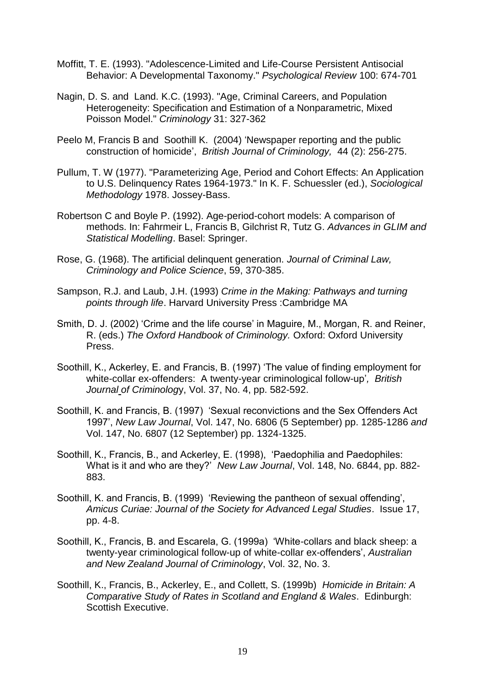- Moffitt, T. E. (1993). "Adolescence-Limited and Life-Course Persistent Antisocial Behavior: A Developmental Taxonomy." *Psychological Review* 100: 674-701
- Nagin, D. S. and Land. K.C. (1993). "Age, Criminal Careers, and Population Heterogeneity: Specification and Estimation of a Nonparametric, Mixed Poisson Model." *Criminology* 31: 327-362
- Peelo M, Francis B and Soothill K. (2004) "Newspaper reporting and the public construction of homicide", *British Journal of Criminology,* 44 (2): 256-275.
- Pullum, T. W (1977). "Parameterizing Age, Period and Cohort Effects: An Application to U.S. Delinquency Rates 1964-1973." In K. F. Schuessler (ed.), *Sociological Methodology* 1978. Jossey-Bass.
- Robertson C and Boyle P. (1992). Age-period-cohort models: A comparison of methods. In: Fahrmeir L, Francis B, Gilchrist R, Tutz G. *Advances in GLIM and Statistical Modelling*. Basel: Springer.
- Rose, G. (1968). The artificial delinquent generation. *Journal of Criminal Law, Criminology and Police Science*, 59, 370-385.
- Sampson, R.J. and Laub, J.H. (1993) *Crime in the Making: Pathways and turning points through life*. Harvard University Press :Cambridge MA
- Smith, D. J. (2002) 'Crime and the life course' in Maguire, M., Morgan, R. and Reiner, R. (eds.) *The Oxford Handbook of Criminology.* Oxford: Oxford University Press.
- Soothill, K., Ackerley, E. and Francis, B. (1997) "The value of finding employment for white-collar ex-offenders: A twenty-year criminological follow-up"*, British Journal of Criminolog*y, Vol. 37, No. 4, pp. 582-592.
- Soothill, K. and Francis, B. (1997) "Sexual reconvictions and the Sex Offenders Act 1997", *New Law Journal*, Vol. 147, No. 6806 (5 September) pp. 1285-1286 *and* Vol. 147, No. 6807 (12 September) pp. 1324-1325.
- Soothill, K., Francis, B., and Ackerley, E. (1998), "Paedophilia and Paedophiles: What is it and who are they?" *New Law Journal*, Vol. 148, No. 6844, pp. 882- 883.
- Soothill, K. and Francis, B. (1999) "Reviewing the pantheon of sexual offending", *Amicus Curiae: Journal of the Society for Advanced Legal Studies*. Issue 17, pp. 4-8.
- Soothill, K., Francis, B. and Escarela, G. (1999a) "White-collars and black sheep: a twenty-year criminological follow-up of white-collar ex-offenders", *Australian and New Zealand Journal of Criminology*, Vol. 32, No. 3.
- Soothill, K., Francis, B., Ackerley, E., and Collett, S. (1999b) *Homicide in Britain: A Comparative Study of Rates in Scotland and England & Wales*. Edinburgh: Scottish Executive.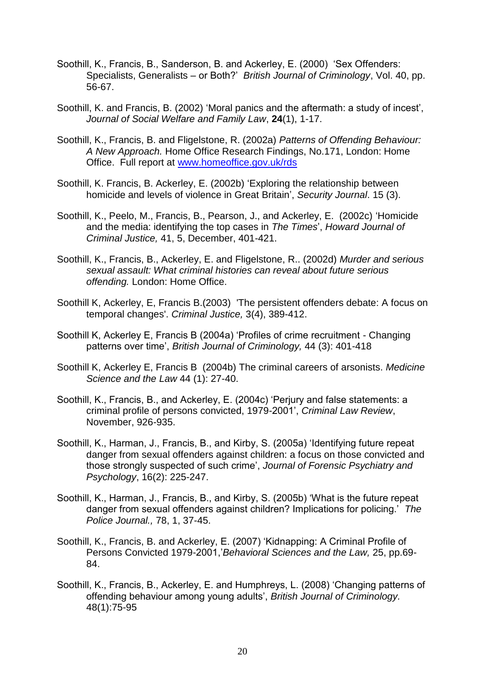- Soothill, K., Francis, B., Sanderson, B. and Ackerley, E. (2000) "Sex Offenders: Specialists, Generalists – or Both?" *British Journal of Criminology*, Vol. 40, pp. 56-67.
- Soothill, K. and Francis, B. (2002) "Moral panics and the aftermath: a study of incest", *Journal of Social Welfare and Family Law*, **24**(1), 1-17.
- Soothill, K., Francis, B. and Fligelstone, R. (2002a) *Patterns of Offending Behaviour: A New Approach.* Home Office Research Findings, No.171, London: Home Office. Full report at [www.homeoffice.gov.uk/rds](http://www.homeoffice.gov.uk/rds)
- Soothill, K. Francis, B. Ackerley, E. (2002b) "Exploring the relationship between homicide and levels of violence in Great Britain", *Security Journal*. 15 (3).
- Soothill, K., Peelo, M., Francis, B., Pearson, J., and Ackerley, E. (2002c) "Homicide and the media: identifying the top cases in *The Times*", *Howard Journal of Criminal Justice,* 41, 5, December, 401-421.
- Soothill, K., Francis, B., Ackerley, E. and Fligelstone, R.. (2002d) *Murder and serious sexual assault: What criminal histories can reveal about future serious offending.* London: Home Office.
- Soothill K, Ackerley, E, Francis B.(2003)'The persistent offenders debate: A focus on temporal changes'. *Criminal Justice,* 3(4), 389-412.
- Soothill K, Ackerley E, Francis B (2004a) "Profiles of crime recruitment Changing patterns over time", *British Journal of Criminology,* 44 (3): 401-418
- Soothill K, Ackerley E, Francis B (2004b) The criminal careers of arsonists. *Medicine Science and the Law* 44 (1): 27-40.
- Soothill, K., Francis, B., and Ackerley, E. (2004c) "Perjury and false statements: a criminal profile of persons convicted, 1979-2001", *Criminal Law Review*, November, 926-935.
- Soothill, K., Harman, J., Francis, B., and Kirby, S. (2005a) "Identifying future repeat danger from sexual offenders against children: a focus on those convicted and those strongly suspected of such crime", *Journal of Forensic Psychiatry and Psychology*, 16(2): 225-247.
- Soothill, K., Harman, J., Francis, B., and Kirby, S. (2005b) "What is the future repeat danger from sexual offenders against children? Implications for policing." *The Police Journal.,* 78, 1, 37-45.
- Soothill, K., Francis, B. and Ackerley, E. (2007) "Kidnapping: A Criminal Profile of Persons Convicted 1979-2001,"*Behavioral Sciences and the Law,* 25, pp.69- 84.
- Soothill, K., Francis, B., Ackerley, E. and Humphreys, L. (2008) "Changing patterns of offending behaviour among young adults", *British Journal of Criminology.* 48(1):75-95